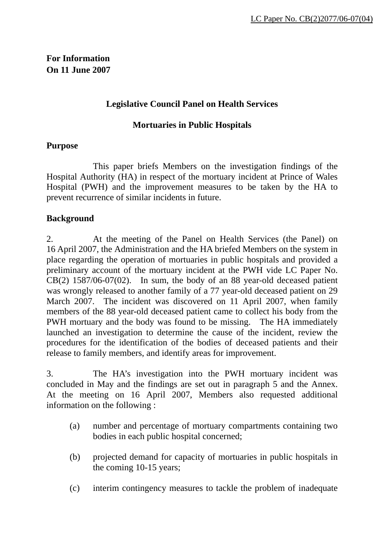# **For Information On 11 June 2007**

# **Legislative Council Panel on Health Services**

## **Mortuaries in Public Hospitals**

## **Purpose**

 This paper briefs Members on the investigation findings of the Hospital Authority (HA) in respect of the mortuary incident at Prince of Wales Hospital (PWH) and the improvement measures to be taken by the HA to prevent recurrence of similar incidents in future.

# **Background**

2. At the meeting of the Panel on Health Services (the Panel) on 16 April 2007, the Administration and the HA briefed Members on the system in place regarding the operation of mortuaries in public hospitals and provided a preliminary account of the mortuary incident at the PWH vide LC Paper No.  $CB(2)$  1587/06-07(02). In sum, the body of an 88 year-old deceased patient was wrongly released to another family of a 77 year-old deceased patient on 29 March 2007. The incident was discovered on 11 April 2007, when family members of the 88 year-old deceased patient came to collect his body from the PWH mortuary and the body was found to be missing. The HA immediately launched an investigation to determine the cause of the incident, review the procedures for the identification of the bodies of deceased patients and their release to family members, and identify areas for improvement.

3. The HA's investigation into the PWH mortuary incident was concluded in May and the findings are set out in paragraph 5 and the Annex. At the meeting on 16 April 2007, Members also requested additional information on the following :

- (a) number and percentage of mortuary compartments containing two bodies in each public hospital concerned;
- (b) projected demand for capacity of mortuaries in public hospitals in the coming 10-15 years;
- (c) interim contingency measures to tackle the problem of inadequate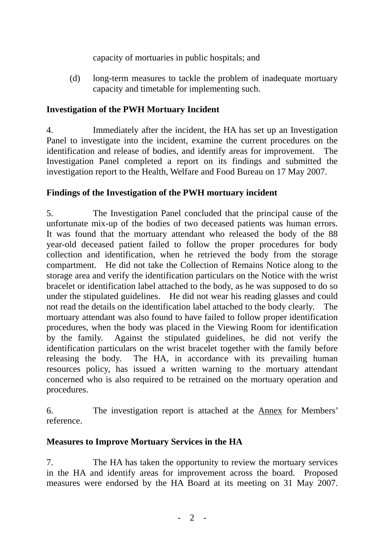capacity of mortuaries in public hospitals; and

(d) long-term measures to tackle the problem of inadequate mortuary capacity and timetable for implementing such.

# **Investigation of the PWH Mortuary Incident**

4. Immediately after the incident, the HA has set up an Investigation Panel to investigate into the incident, examine the current procedures on the identification and release of bodies, and identify areas for improvement. The Investigation Panel completed a report on its findings and submitted the investigation report to the Health, Welfare and Food Bureau on 17 May 2007.

# **Findings of the Investigation of the PWH mortuary incident**

5. The Investigation Panel concluded that the principal cause of the unfortunate mix-up of the bodies of two deceased patients was human errors. It was found that the mortuary attendant who released the body of the 88 year-old deceased patient failed to follow the proper procedures for body collection and identification, when he retrieved the body from the storage compartment. He did not take the Collection of Remains Notice along to the storage area and verify the identification particulars on the Notice with the wrist bracelet or identification label attached to the body, as he was supposed to do so under the stipulated guidelines. He did not wear his reading glasses and could not read the details on the identification label attached to the body clearly. The mortuary attendant was also found to have failed to follow proper identification procedures, when the body was placed in the Viewing Room for identification by the family. Against the stipulated guidelines, he did not verify the identification particulars on the wrist bracelet together with the family before releasing the body. The HA, in accordance with its prevailing human resources policy, has issued a written warning to the mortuary attendant concerned who is also required to be retrained on the mortuary operation and procedures.

6. The investigation report is attached at the Annex for Members' reference.

# **Measures to Improve Mortuary Services in the HA**

7. The HA has taken the opportunity to review the mortuary services in the HA and identify areas for improvement across the board. Proposed measures were endorsed by the HA Board at its meeting on 31 May 2007.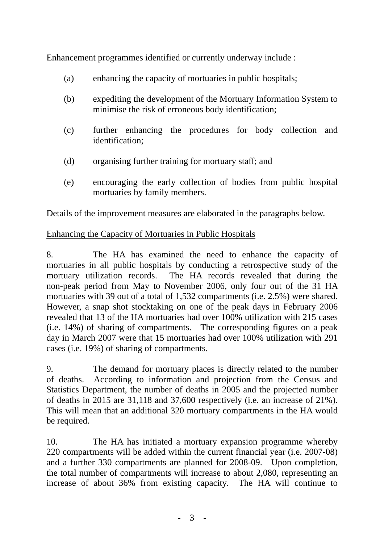Enhancement programmes identified or currently underway include :

- (a) enhancing the capacity of mortuaries in public hospitals;
- (b) expediting the development of the Mortuary Information System to minimise the risk of erroneous body identification;
- (c) further enhancing the procedures for body collection and identification;
- (d) organising further training for mortuary staff; and
- (e) encouraging the early collection of bodies from public hospital mortuaries by family members.

Details of the improvement measures are elaborated in the paragraphs below.

# Enhancing the Capacity of Mortuaries in Public Hospitals

8. The HA has examined the need to enhance the capacity of mortuaries in all public hospitals by conducting a retrospective study of the mortuary utilization records. The HA records revealed that during the non-peak period from May to November 2006, only four out of the 31 HA mortuaries with 39 out of a total of 1,532 compartments (i.e. 2.5%) were shared. However, a snap shot stocktaking on one of the peak days in February 2006 revealed that 13 of the HA mortuaries had over 100% utilization with 215 cases (i.e. 14%) of sharing of compartments. The corresponding figures on a peak day in March 2007 were that 15 mortuaries had over 100% utilization with 291 cases (i.e. 19%) of sharing of compartments.

9. The demand for mortuary places is directly related to the number of deaths. According to information and projection from the Census and Statistics Department, the number of deaths in 2005 and the projected number of deaths in 2015 are 31,118 and 37,600 respectively (i.e. an increase of 21%). This will mean that an additional 320 mortuary compartments in the HA would be required.

10. The HA has initiated a mortuary expansion programme whereby 220 compartments will be added within the current financial year (i.e. 2007-08) and a further 330 compartments are planned for 2008-09. Upon completion, the total number of compartments will increase to about 2,080, representing an increase of about 36% from existing capacity. The HA will continue to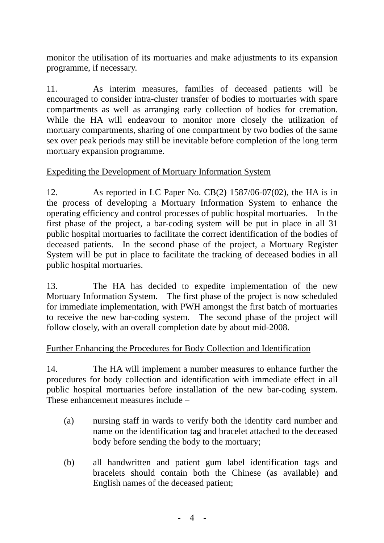monitor the utilisation of its mortuaries and make adjustments to its expansion programme, if necessary.

11. As interim measures, families of deceased patients will be encouraged to consider intra-cluster transfer of bodies to mortuaries with spare compartments as well as arranging early collection of bodies for cremation. While the HA will endeavour to monitor more closely the utilization of mortuary compartments, sharing of one compartment by two bodies of the same sex over peak periods may still be inevitable before completion of the long term mortuary expansion programme.

# Expediting the Development of Mortuary Information System

12. As reported in LC Paper No. CB(2) 1587/06-07(02), the HA is in the process of developing a Mortuary Information System to enhance the operating efficiency and control processes of public hospital mortuaries. In the first phase of the project, a bar-coding system will be put in place in all 31 public hospital mortuaries to facilitate the correct identification of the bodies of deceased patients. In the second phase of the project, a Mortuary Register System will be put in place to facilitate the tracking of deceased bodies in all public hospital mortuaries.

13. The HA has decided to expedite implementation of the new Mortuary Information System. The first phase of the project is now scheduled for immediate implementation, with PWH amongst the first batch of mortuaries to receive the new bar-coding system. The second phase of the project will follow closely, with an overall completion date by about mid-2008.

## Further Enhancing the Procedures for Body Collection and Identification

14. The HA will implement a number measures to enhance further the procedures for body collection and identification with immediate effect in all public hospital mortuaries before installation of the new bar-coding system. These enhancement measures include –

- (a) nursing staff in wards to verify both the identity card number and name on the identification tag and bracelet attached to the deceased body before sending the body to the mortuary;
- (b) all handwritten and patient gum label identification tags and bracelets should contain both the Chinese (as available) and English names of the deceased patient;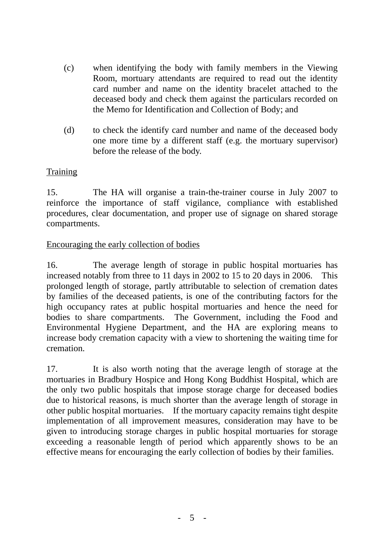- (c) when identifying the body with family members in the Viewing Room, mortuary attendants are required to read out the identity card number and name on the identity bracelet attached to the deceased body and check them against the particulars recorded on the Memo for Identification and Collection of Body; and
- (d) to check the identify card number and name of the deceased body one more time by a different staff (e.g. the mortuary supervisor) before the release of the body.

# **Training**

15. The HA will organise a train-the-trainer course in July 2007 to reinforce the importance of staff vigilance, compliance with established procedures, clear documentation, and proper use of signage on shared storage compartments.

## Encouraging the early collection of bodies

16. The average length of storage in public hospital mortuaries has increased notably from three to 11 days in 2002 to 15 to 20 days in 2006. This prolonged length of storage, partly attributable to selection of cremation dates by families of the deceased patients, is one of the contributing factors for the high occupancy rates at public hospital mortuaries and hence the need for bodies to share compartments. The Government, including the Food and Environmental Hygiene Department, and the HA are exploring means to increase body cremation capacity with a view to shortening the waiting time for cremation.

17. It is also worth noting that the average length of storage at the mortuaries in Bradbury Hospice and Hong Kong Buddhist Hospital, which are the only two public hospitals that impose storage charge for deceased bodies due to historical reasons, is much shorter than the average length of storage in other public hospital mortuaries. If the mortuary capacity remains tight despite implementation of all improvement measures, consideration may have to be given to introducing storage charges in public hospital mortuaries for storage exceeding a reasonable length of period which apparently shows to be an effective means for encouraging the early collection of bodies by their families.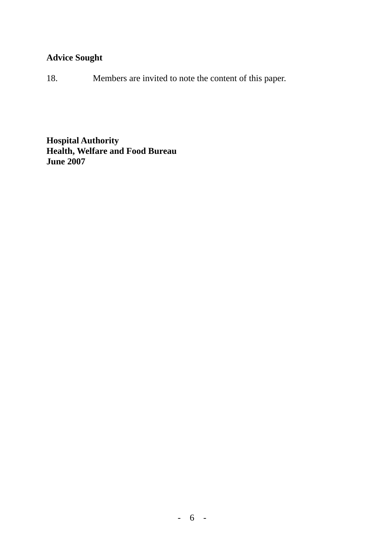# **Advice Sought**

18. Members are invited to note the content of this paper.

**Hospital Authority Health, Welfare and Food Bureau June 2007**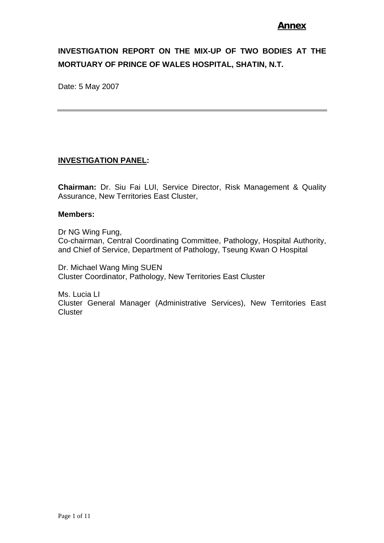## **Annex**

# **INVESTIGATION REPORT ON THE MIX-UP OF TWO BODIES AT THE MORTUARY OF PRINCE OF WALES HOSPITAL, SHATIN, N.T.**

Date: 5 May 2007

### **INVESTIGATION PANEL:**

**Chairman:** Dr. Siu Fai LUI, Service Director, Risk Management & Quality Assurance, New Territories East Cluster,

#### **Members:**

Dr NG Wing Fung, Co-chairman, Central Coordinating Committee, Pathology, Hospital Authority, and Chief of Service, Department of Pathology, Tseung Kwan O Hospital

Dr. Michael Wang Ming SUEN Cluster Coordinator, Pathology, New Territories East Cluster

Ms. Lucia LI Cluster General Manager (Administrative Services), New Territories East **Cluster**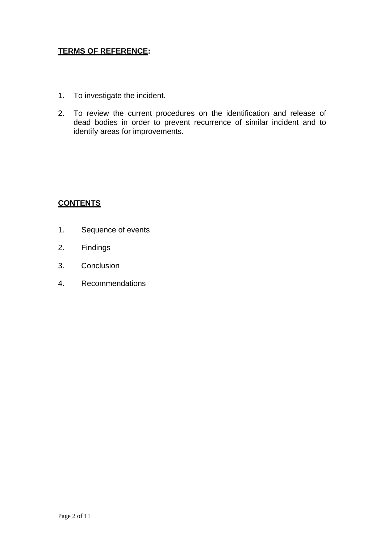## **TERMS OF REFERENCE:**

- 1. To investigate the incident.
- 2. To review the current procedures on the identification and release of dead bodies in order to prevent recurrence of similar incident and to identify areas for improvements.

## **CONTENTS**

- 1. Sequence of events
- 2. Findings
- 3. Conclusion
- 4. Recommendations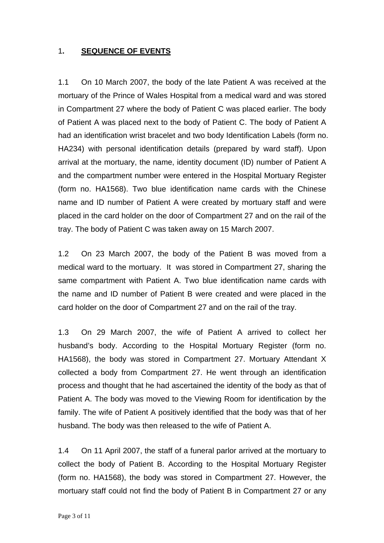### 1**. SEQUENCE OF EVENTS**

1.1 On 10 March 2007, the body of the late Patient A was received at the mortuary of the Prince of Wales Hospital from a medical ward and was stored in Compartment 27 where the body of Patient C was placed earlier. The body of Patient A was placed next to the body of Patient C. The body of Patient A had an identification wrist bracelet and two body Identification Labels (form no. HA234) with personal identification details (prepared by ward staff). Upon arrival at the mortuary, the name, identity document (ID) number of Patient A and the compartment number were entered in the Hospital Mortuary Register (form no. HA1568). Two blue identification name cards with the Chinese name and ID number of Patient A were created by mortuary staff and were placed in the card holder on the door of Compartment 27 and on the rail of the tray. The body of Patient C was taken away on 15 March 2007.

1.2 On 23 March 2007, the body of the Patient B was moved from a medical ward to the mortuary. It was stored in Compartment 27, sharing the same compartment with Patient A. Two blue identification name cards with the name and ID number of Patient B were created and were placed in the card holder on the door of Compartment 27 and on the rail of the tray.

1.3 On 29 March 2007, the wife of Patient A arrived to collect her husband's body. According to the Hospital Mortuary Register (form no. HA1568), the body was stored in Compartment 27. Mortuary Attendant X collected a body from Compartment 27. He went through an identification process and thought that he had ascertained the identity of the body as that of Patient A. The body was moved to the Viewing Room for identification by the family. The wife of Patient A positively identified that the body was that of her husband. The body was then released to the wife of Patient A.

1.4 On 11 April 2007, the staff of a funeral parlor arrived at the mortuary to collect the body of Patient B. According to the Hospital Mortuary Register (form no. HA1568), the body was stored in Compartment 27. However, the mortuary staff could not find the body of Patient B in Compartment 27 or any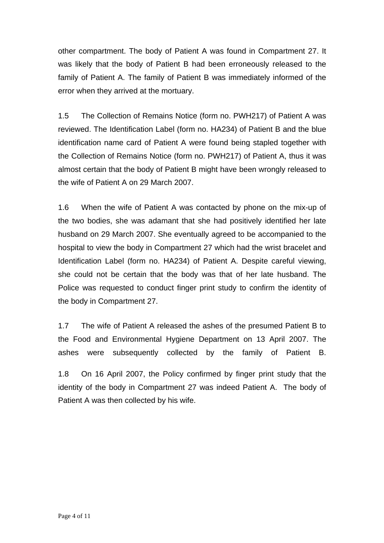other compartment. The body of Patient A was found in Compartment 27. It was likely that the body of Patient B had been erroneously released to the family of Patient A. The family of Patient B was immediately informed of the error when they arrived at the mortuary.

1.5 The Collection of Remains Notice (form no. PWH217) of Patient A was reviewed. The Identification Label (form no. HA234) of Patient B and the blue identification name card of Patient A were found being stapled together with the Collection of Remains Notice (form no. PWH217) of Patient A, thus it was almost certain that the body of Patient B might have been wrongly released to the wife of Patient A on 29 March 2007.

1.6 When the wife of Patient A was contacted by phone on the mix-up of the two bodies, she was adamant that she had positively identified her late husband on 29 March 2007. She eventually agreed to be accompanied to the hospital to view the body in Compartment 27 which had the wrist bracelet and Identification Label (form no. HA234) of Patient A. Despite careful viewing, she could not be certain that the body was that of her late husband. The Police was requested to conduct finger print study to confirm the identity of the body in Compartment 27.

1.7 The wife of Patient A released the ashes of the presumed Patient B to the Food and Environmental Hygiene Department on 13 April 2007. The ashes were subsequently collected by the family of Patient B.

1.8 On 16 April 2007, the Policy confirmed by finger print study that the identity of the body in Compartment 27 was indeed Patient A. The body of Patient A was then collected by his wife.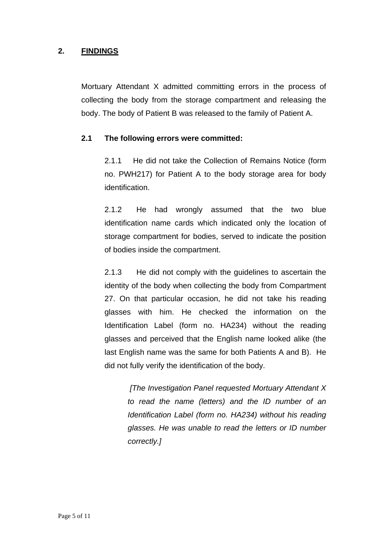## **2. FINDINGS**

Mortuary Attendant X admitted committing errors in the process of collecting the body from the storage compartment and releasing the body. The body of Patient B was released to the family of Patient A.

#### **2.1 The following errors were committed:**

2.1.1 He did not take the Collection of Remains Notice (form no. PWH217) for Patient A to the body storage area for body identification.

2.1.2 He had wrongly assumed that the two blue identification name cards which indicated only the location of storage compartment for bodies, served to indicate the position of bodies inside the compartment.

2.1.3 He did not comply with the guidelines to ascertain the identity of the body when collecting the body from Compartment 27. On that particular occasion, he did not take his reading glasses with him. He checked the information on the Identification Label (form no. HA234) without the reading glasses and perceived that the English name looked alike (the last English name was the same for both Patients A and B). He did not fully verify the identification of the body.

> *[The Investigation Panel requested Mortuary Attendant X to read the name (letters) and the ID number of an Identification Label (form no. HA234) without his reading glasses. He was unable to read the letters or ID number correctly.]*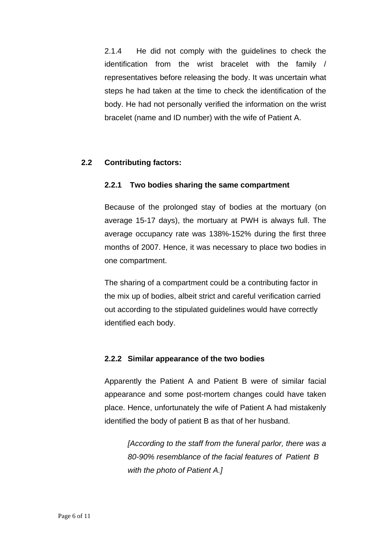2.1.4 He did not comply with the guidelines to check the identification from the wrist bracelet with the family / representatives before releasing the body. It was uncertain what steps he had taken at the time to check the identification of the body. He had not personally verified the information on the wrist bracelet (name and ID number) with the wife of Patient A.

## **2.2 Contributing factors:**

## **2.2.1 Two bodies sharing the same compartment**

Because of the prolonged stay of bodies at the mortuary (on average 15-17 days), the mortuary at PWH is always full. The average occupancy rate was 138%-152% during the first three months of 2007. Hence, it was necessary to place two bodies in one compartment.

The sharing of a compartment could be a contributing factor in the mix up of bodies, albeit strict and careful verification carried out according to the stipulated guidelines would have correctly identified each body.

#### **2.2.2 Similar appearance of the two bodies**

 Apparently the Patient A and Patient B were of similar facial appearance and some post-mortem changes could have taken place. Hence, unfortunately the wife of Patient A had mistakenly identified the body of patient B as that of her husband.

> *[According to the staff from the funeral parlor, there was a 80-90% resemblance of the facial features of Patient B with the photo of Patient A.]*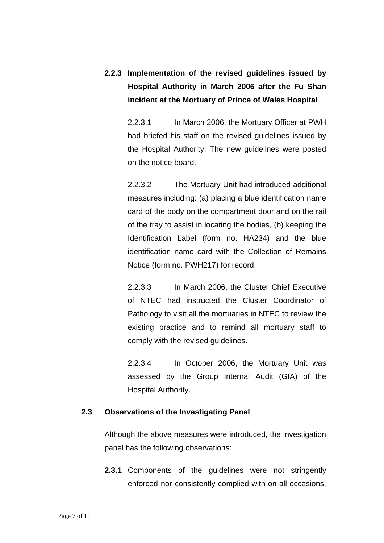# **2.2.3 Implementation of the revised guidelines issued by Hospital Authority in March 2006 after the Fu Shan incident at the Mortuary of Prince of Wales Hospital**

 2.2.3.1 In March 2006, the Mortuary Officer at PWH had briefed his staff on the revised guidelines issued by the Hospital Authority. The new guidelines were posted on the notice board.

 2.2.3.2 The Mortuary Unit had introduced additional measures including: (a) placing a blue identification name card of the body on the compartment door and on the rail of the tray to assist in locating the bodies, (b) keeping the Identification Label (form no. HA234) and the blue identification name card with the Collection of Remains Notice (form no. PWH217) for record.

 2.2.3.3 In March 2006, the Cluster Chief Executive of NTEC had instructed the Cluster Coordinator of Pathology to visit all the mortuaries in NTEC to review the existing practice and to remind all mortuary staff to comply with the revised guidelines.

 2.2.3.4 In October 2006, the Mortuary Unit was assessed by the Group Internal Audit (GIA) of the Hospital Authority.

#### **2.3 Observations of the Investigating Panel**

Although the above measures were introduced, the investigation panel has the following observations:

**2.3.1** Components of the guidelines were not stringently enforced nor consistently complied with on all occasions,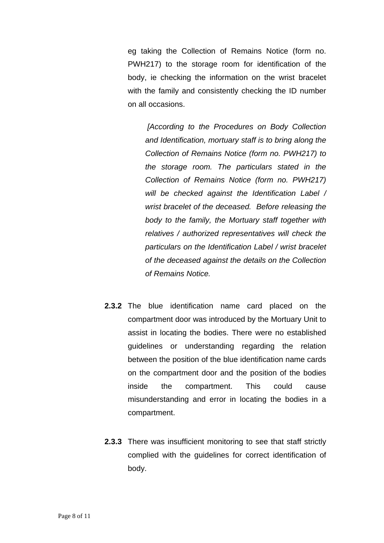eg taking the Collection of Remains Notice (form no. PWH217) to the storage room for identification of the body, ie checking the information on the wrist bracelet with the family and consistently checking the ID number on all occasions.

*[According to the Procedures on Body Collection and Identification, mortuary staff is to bring along the Collection of Remains Notice (form no. PWH217) to the storage room. The particulars stated in the Collection of Remains Notice (form no. PWH217) will be checked against the Identification Label / wrist bracelet of the deceased. Before releasing the body to the family, the Mortuary staff together with relatives / authorized representatives will check the particulars on the Identification Label / wrist bracelet of the deceased against the details on the Collection of Remains Notice.* 

- **2.3.2** The blue identification name card placed on the compartment door was introduced by the Mortuary Unit to assist in locating the bodies. There were no established guidelines or understanding regarding the relation between the position of the blue identification name cards on the compartment door and the position of the bodies inside the compartment. This could cause misunderstanding and error in locating the bodies in a compartment.
- **2.3.3** There was insufficient monitoring to see that staff strictly complied with the guidelines for correct identification of body.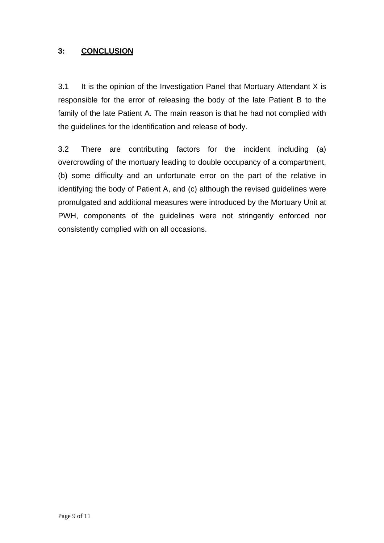## **3: CONCLUSION**

3.1 It is the opinion of the Investigation Panel that Mortuary Attendant X is responsible for the error of releasing the body of the late Patient B to the family of the late Patient A. The main reason is that he had not complied with the guidelines for the identification and release of body.

3.2 There are contributing factors for the incident including (a) overcrowding of the mortuary leading to double occupancy of a compartment, (b) some difficulty and an unfortunate error on the part of the relative in identifying the body of Patient A, and (c) although the revised guidelines were promulgated and additional measures were introduced by the Mortuary Unit at PWH, components of the guidelines were not stringently enforced nor consistently complied with on all occasions.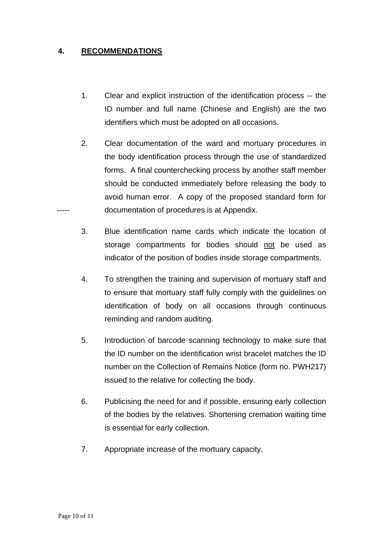## **4. RECOMMENDATIONS**

- 1. Clear and explicit instruction of the identification process -- the ID number and full name (Chinese and English) are the two identifiers which must be adopted on all occasions.
- 2. Clear documentation of the ward and mortuary procedures in the body identification process through the use of standardized forms. A final counterchecking process by another staff member should be conducted immediately before releasing the body to avoid human error. A copy of the proposed standard form for documentation of procedures is at Appendix.
- 3. Blue identification name cards which indicate the location of storage compartments for bodies should not be used as indicator of the position of bodies inside storage compartments.
- 4. To strengthen the training and supervision of mortuary staff and to ensure that mortuary staff fully comply with the guidelines on identification of body on all occasions through continuous reminding and random auditing.
- 5. Introduction of barcode scanning technology to make sure that the ID number on the identification wrist bracelet matches the ID number on the Collection of Remains Notice (form no. PWH217) issued to the relative for collecting the body.
- 6. Publicising the need for and if possible, ensuring early collection of the bodies by the relatives. Shortening cremation waiting time is essential for early collection.
- 7. Appropriate increase of the mortuary capacity.

-----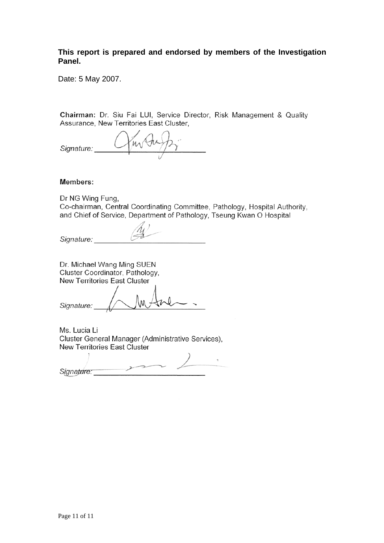**This report is prepared and endorsed by members of the Investigation Panel.** 

Date: 5 May 2007.

Chairman: Dr. Siu Fai LUI, Service Director, Risk Management & Quality Assurance, New Territories East Cluster,

mother Signature:

#### Members:

Dr NG Wing Fung, Co-chairman, Central Coordinating Committee, Pathology, Hospital Authority, and Chief of Service, Department of Pathology, Tseung Kwan O Hospital

Signature:

Dr. Michael Wang Ming SUEN Cluster Coordinator, Pathology, New Territories East Cluster

Signature:

Ms. Lucia Li Cluster General Manager (Administrative Services), New Territories East Cluster

 $\rightarrow$ Signature: